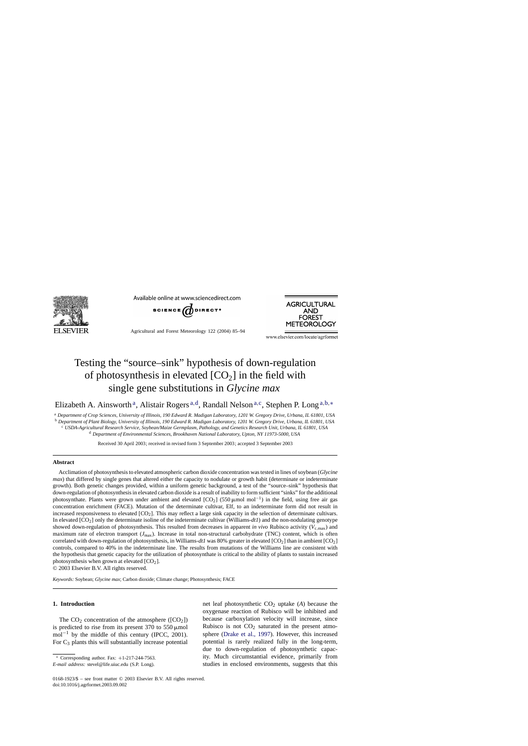

Available online at www.sciencedirect.com



Agricultural and Forest Meteorology 122 (2004) 85–94



www.elsevier.com/locate/agrformet

# Testing the "source–sink" hypothesis of down-regulation of photosynthesis in elevated  $[CO<sub>2</sub>]$  in the field with single gene substitutions in *Glycine max*

Elizabeth A. Ainsworth<sup>a</sup>, Alistair Rogers<sup>a,d</sup>, Randall Nelson<sup>a,c</sup>, Stephen P. Long<sup>a,b,\*</sup>

<sup>a</sup> *Department of Crop Sciences, University of Illinois, 190 Edward R. Madigan Laboratory, 1201 W. Gregory Drive, Urbana, IL 61801, USA*

<sup>b</sup> *Department of Plant Biology, University of Illinois, 190 Edward R. Madigan Laboratory, 1201 W. Gregory Drive, Urbana, IL 61801, USA*

<sup>c</sup> *USDA-Agricultural Research Service, Soybean/Maize Germplasm, Pathology, and Genetics Research Unit, Urbana, IL 61801, USA* <sup>d</sup> *Department of Environmental Sciences, Brookhaven National Laboratory, Upton, NY 11973-5000, USA*

Received 30 April 2003; received in revised form 3 September 2003; accepted 3 September 2003

## **Abstract**

Acclimation of photosynthesis to elevated atmospheric carbon dioxide concentration was tested in lines of soybean (*Glycine max*) that differed by single genes that altered either the capacity to nodulate or growth habit (determinate or indeterminate growth). Both genetic changes provided, within a uniform genetic background, a test of the "source–sink" hypothesis that down-regulation of photosynthesis in elevated carbon dioxide is a result of inability to form sufficient "sinks" for the additional photosynthate. Plants were grown under ambient and elevated [CO<sub>2</sub>] (550µmol mol<sup>-1</sup>) in the field, using free air gas concentration enrichment (FACE). Mutation of the determinate cultivar, Elf, to an indeterminate form did not result in increased responsiveness to elevated  $[CO_2]$ . This may reflect a large sink capacity in the selection of determinate cultivars. In elevated [CO2] only the determinate isoline of the indeterminate cultivar (Williams-*dt1*) and the non-nodulating genotype showed down-regulation of photosynthesis. This resulted from decreases in apparent *in vivo* Rubisco activity ( $V_{\text{c,max}}$ ) and maximum rate of electron transport (*J*max). Increase in total non-structural carbohydrate (TNC) content, which is often correlated with down-regulation of photosynthesis, in Williams-*dt1* was 80% greater in elevated [CO2] than in ambient [CO2] controls, compared to 40% in the indeterminate line. The results from mutations of the Williams line are consistent with the hypothesis that genetic capacity for the utilization of photosynthate is critical to the ability of plants to sustain increased photosynthesis when grown at elevated  $[CO<sub>2</sub>]$ .

© 2003 Elsevier B.V. All rights reserved.

*Keywords:* Soybean; *Glycine max*; Carbon dioxide; Climate change; Photosynthesis; FACE

# **1. Introduction**

The  $CO_2$  concentration of the atmosphere ( $[CO_2]$ ) is predicted to rise from its present  $370$  to  $550 \mu$ mol mol<sup>-1</sup> by the middle of this century (IPCC, 2001). For  $C_3$  plants this will substantially increase potential

Corresponding author. Fax:  $+1-217-244-7563$ .

*E-mail address:* stevel@life.uiuc.edu (S.P. Long).

net leaf photosynthetic  $CO<sub>2</sub>$  uptake (A) because the oxygenase reaction of Rubisco will be inhibited and because carboxylation velocity will increase, since Rubisco is not  $CO<sub>2</sub>$  saturated in the present atmosphere ([Drake et al., 1997\)](#page-8-0). However, this increased potential is rarely realized fully in the long-term, due to down-regulation of photosynthetic capacity. Much circumstantial evidence, primarily from studies in enclosed environments, suggests that this

<sup>0168-1923/\$ –</sup> see front matter © 2003 Elsevier B.V. All rights reserved. doi:10.1016/j.agrformet.2003.09.002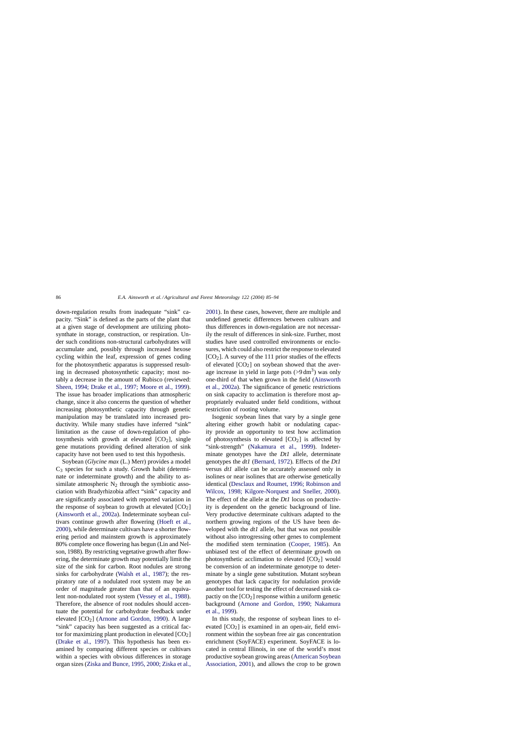down-regulation results from inadequate "sink" capacity. "Sink" is defined as the parts of the plant that at a given stage of development are utilizing photosynthate in storage, construction, or respiration. Under such conditions non-structural carbohydrates will accumulate and, possibly through increased hexose cycling within the leaf, expression of genes coding for the photosynthetic apparatus is suppressed resulting in decreased photosynthetic capacity; most notably a decrease in the amount of Rubisco (reviewed: [Sheen, 1994; Drake et al., 1997; Moore et al., 1999\).](#page-8-0) The issue has broader implications than atmospheric change, since it also concerns the question of whether increasing photosynthetic capacity through genetic manipulation may be translated into increased productivity. While many studies have inferred "sink" limitation as the cause of down-regulation of photosynthesis with growth at elevated  $[CO<sub>2</sub>]$ , single gene mutations providing defined alteration of sink capacity have not been used to test this hypothesis.

Soybean (*Glycine max* (L.) Merr) provides a model  $C_3$  species for such a study. Growth habit (determinate or indeterminate growth) and the ability to assimilate atmospheric  $N_2$  through the symbiotic association with Bradyrhizobia affect "sink" capacity and are significantly associated with reported variation in the response of soybean to growth at elevated  $[CO<sub>2</sub>]$ ([Ainsworth et al., 2002a\).](#page-7-0) Indeterminate soybean cultivars continue growth after flowering ([Hoeft et al.,](#page-8-0) [2000\),](#page-8-0) while determinate cultivars have a shorter flowering period and mainstem growth is approximately 80% complete once flowering has begun (Lin and Nelson, 1988). By restricting vegetative growth after flowering, the determinate growth may potentially limit the size of the sink for carbon. Root nodules are strong sinks for carbohydrate [\(Walsh et al., 1987\)](#page-8-0); the respiratory rate of a nodulated root system may be an order of magnitude greater than that of an equivalent non-nodulated root system ([Vessey et al., 1988\).](#page-8-0) Therefore, the absence of root nodules should accentuate the potential for carbohydrate feedback under elevated  $[CO_2]$  [\(Arnone and Gordon, 1990\)](#page-8-0). A large "sink" capacity has been suggested as a critical factor for maximizing plant production in elevated  $[CO<sub>2</sub>]$ ([Drake et al., 1997](#page-8-0)). This hypothesis has been examined by comparing different species or cultivars within a species with obvious differences in storage organ sizes ([Ziska and Bunce, 1995, 2000; Ziska et al.,](#page-8-0) [2001\).](#page-8-0) In these cases, however, there are multiple and undefined genetic differences between cultivars and thus differences in down-regulation are not necessarily the result of differences in sink-size. Further, most studies have used controlled environments or enclosures, which could also restrict the response to elevated  $[CO<sub>2</sub>]$ . A survey of the 111 prior studies of the effects of elevated  $[CO<sub>2</sub>]$  on soybean showed that the average increase in yield in large pots  $(>9 \text{ dm}^3)$  was only one-third of that when grown in the field ([Ainsworth](#page-7-0) [et al., 2002a\).](#page-7-0) The significance of genetic restrictions on sink capacity to acclimation is therefore most appropriately evaluated under field conditions, without restriction of rooting volume.

Isogenic soybean lines that vary by a single gene altering either growth habit or nodulating capacity provide an opportunity to test how acclimation of photosynthesis to elevated  $[CO<sub>2</sub>]$  is affected by "sink-strength" [\(Nakamura et al., 199](#page-8-0)9). Indeterminate genotypes have the *Dt1* allele, determinate genotypes the *dt1* ([Bernard, 1972\).](#page-8-0) Effects of the *Dt1* versus *dt1* allele can be accurately assessed only in isolines or near isolines that are otherwise genetically identical ([Desclaux and Roumet, 1996; Robinson and](#page-8-0) [Wilcox, 1998; Kilgore-Norquest and Sneller, 2000](#page-8-0)). The effect of the allele at the *Dt1* locus on productivity is dependent on the genetic background of line. Very productive determinate cultivars adapted to the northern growing regions of the US have been developed with the *dt1* allele, but that was not possible without also introgressing other genes to complement the modified stem termination [\(Cooper, 1985\)](#page-8-0). An unbiased test of the effect of determinate growth on photosynthetic acclimation to elevated  $[CO<sub>2</sub>]$  would be conversion of an indeterminate genotype to determinate by a single gene substitution. Mutant soybean genotypes that lack capacity for nodulation provide another tool for testing the effect of decreased sink capactiy on the  $[CO<sub>2</sub>]$  response within a uniform genetic background [\(Arnone and Gordon, 1990; Nakamura](#page-8-0) [et al., 1999\).](#page-8-0)

In this study, the response of soybean lines to elevated  $[CO_2]$  is examined in an open-air, field environment within the soybean free air gas concentration enrichment (SoyFACE) experiment. SoyFACE is located in central Illinois, in one of the world's most productive soybean growing areas [\(American Soybean](#page-8-0) [Association, 2001\),](#page-8-0) and allows the crop to be grown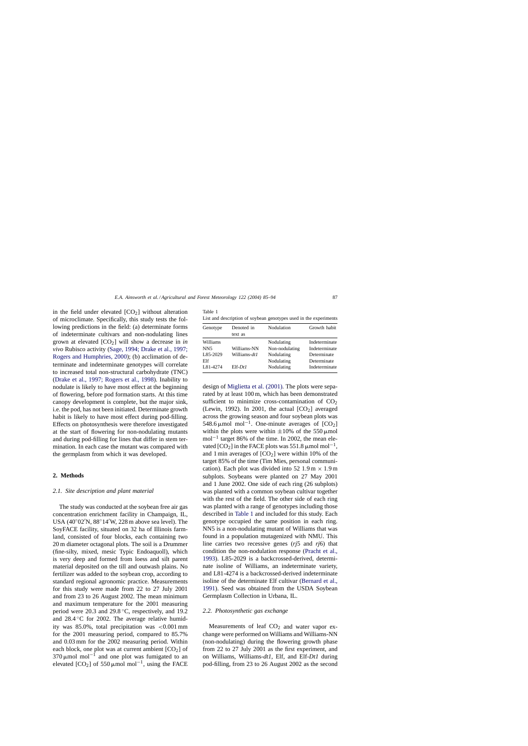<span id="page-2-0"></span>in the field under elevated  $[CO<sub>2</sub>]$  without alteration of microclimate. Specifically, this study tests the following predictions in the field: (a) determinate forms of indeterminate cultivars and non-nodulating lines grown at elevated  $[CO_2]$  will show a decrease in *in vivo* Rubisco activity ([Sage, 1994; Drake et al., 1997;](#page-8-0) [Rogers and Humphries, 2000\);](#page-8-0) (b) acclimation of determinate and indeterminate genotypes will correlate to increased total non-structural carbohydrate (TNC) ([Drake et al., 1997; Rogers et al., 1998\)](#page-8-0). Inability to nodulate is likely to have most effect at the beginning of flowering, before pod formation starts. At this time canopy development is complete, but the major sink, i.e. the pod, has not been initiated. Determinate growth habit is likely to have most effect during pod-filling. Effects on photosynthesis were therefore investigated at the start of flowering for non-nodulating mutants and during pod-filling for lines that differ in stem termination. In each case the mutant was compared with the germplasm from which it was developed.

## **2. Methods**

## *2.1. Site description and plant material*

The study was conducted at the soybean free air gas concentration enrichment facility in Champaign, IL, USA (40◦02 N, 88◦14 W, 228 m above sea level). The SoyFACE facility, situated on 32 ha of Illinois farmland, consisted of four blocks, each containing two 20 m diameter octagonal plots. The soil is a Drummer (fine-silty, mixed, mesic Typic Endoaquoll), which is very deep and formed from loess and silt parent material deposited on the till and outwash plains. No fertilizer was added to the soybean crop, according to standard regional agronomic practice. Measurements for this study were made from 22 to 27 July 2001 and from 23 to 26 August 2002. The mean minimum and maximum temperature for the 2001 measuring period were 20.3 and 29.8 ◦C, respectively, and 19.2 and  $28.4\textdegree$ C for 2002. The average relative humidity was  $85.0\%$ , total precipitation was  $\lt 0.001$  mm for the 2001 measuring period, compared to 85.7% and 0.03 mm for the 2002 measuring period. Within each block, one plot was at current ambient  $[CO<sub>2</sub>]$  of  $370 \mu$ mol mol<sup>−1</sup> and one plot was fumigated to an elevated  $[CO_2]$  of 550 µmol mol<sup>-1</sup>, using the FACE

| Table 1 |                                                                   |  |  |  |  |  |
|---------|-------------------------------------------------------------------|--|--|--|--|--|
|         | List and description of soybean genotypes used in the experiments |  |  |  |  |  |

| Genotype                                       | Denoted in<br>text as       | Nodulation                                               | Growth habit                                                 |
|------------------------------------------------|-----------------------------|----------------------------------------------------------|--------------------------------------------------------------|
| Williams<br>NN <sub>5</sub><br>L85-2029<br>Elf | Williams-NN<br>Williams-dt1 | Nodulating<br>Non-nodulating<br>Nodulating<br>Nodulating | Indeterminate<br>Indeterminate<br>Determinate<br>Determinate |
| L81-4274                                       | $E$ If-DtI                  | Nodulating                                               | Indeterminate                                                |

design of [Miglietta et al. \(2001\). T](#page-8-0)he plots were separated by at least 100 m, which has been demonstrated sufficient to minimize cross-contamination of  $CO<sub>2</sub>$ (Lewin, 1992). In 2001, the actual  $[CO<sub>2</sub>]$  averaged across the growing season and four soybean plots was 548.6 µmol mol<sup>-1</sup>. One-minute averages of  $[CO_2]$ within the plots were within  $\pm 10\%$  of the 550 µmol mol<sup>-1</sup> target 86% of the time. In 2002, the mean elevated  $[CO_2]$  in the FACE plots was 551.8 µmol mol<sup>-1</sup>, and 1 min averages of  $[CO<sub>2</sub>]$  were within 10% of the target 85% of the time (Tim Mies, personal communication). Each plot was divided into 52 1.9 m  $\times$  1.9 m subplots. Soybeans were planted on 27 May 2001 and 1 June 2002. One side of each ring (26 subplots) was planted with a common soybean cultivar together with the rest of the field. The other side of each ring was planted with a range of genotypes including those described in Table 1 and included for this study. Each genotype occupied the same position in each ring. NN5 is a non-nodulating mutant of Williams that was found in a population mutagenized with NMU. This line carries two recessive genes (*rj*5 and *rj*6) that condition the non-nodulation response ([Pracht et al.,](#page-8-0) [1993\).](#page-8-0) L85-2029 is a backcrossed-derived, determinate isoline of Williams, an indeterminate variety, and L81-4274 is a backcrossed-derived indeterminate isoline of the determinate Elf cultivar [\(Bernard et al.,](#page-8-0) [1991\).](#page-8-0) Seed was obtained from the USDA Soybean Germplasm Collection in Urbana, IL.

## *2.2. Photosynthetic gas exchange*

Measurements of leaf  $CO<sub>2</sub>$  and water vapor exchange were performed on Williams and Williams-NN (non-nodulating) during the flowering growth phase from 22 to 27 July 2001 as the first experiment, and on Williams, Williams-*dt1*, Elf, and Elf-*Dt1* during pod-filling, from 23 to 26 August 2002 as the second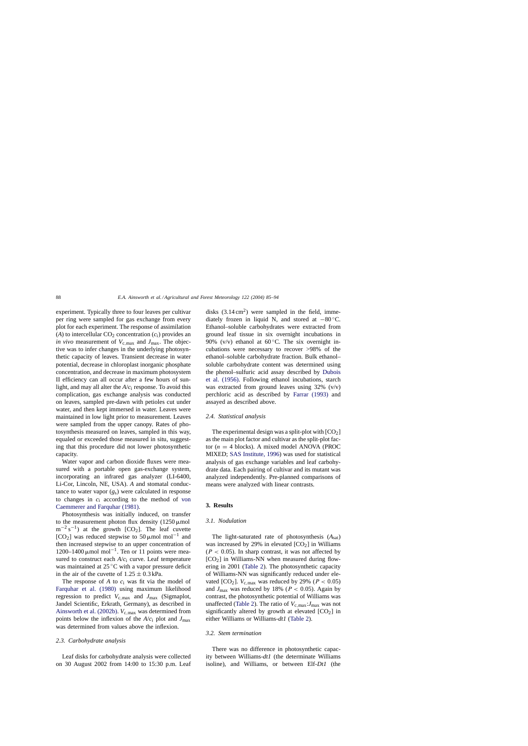experiment. Typically three to four leaves per cultivar per ring were sampled for gas exchange from every plot for each experiment. The response of assimilation (*A*) to intercellular  $CO<sub>2</sub>$  concentration  $(c<sub>i</sub>)$  provides an *in vivo* measurement of  $V_{c,\text{max}}$  and  $J_{\text{max}}$ . The objective was to infer changes in the underlying photosynthetic capacity of leaves. Transient decrease in water potential, decrease in chloroplast inorganic phosphate concentration, and decrease in maximum photosystem II efficiency can all occur after a few hours of sunlight, and may all alter the *A*/*c*<sup>i</sup> response. To avoid this complication, gas exchange analysis was conducted on leaves, sampled pre-dawn with petioles cut under water, and then kept immersed in water. Leaves were maintained in low light prior to measurement. Leaves were sampled from the upper canopy. Rates of photosynthesis measured on leaves, sampled in this way, equaled or exceeded those measured in situ, suggesting that this procedure did not lower photosynthetic capacity.

Water vapor and carbon dioxide fluxes were measured with a portable open gas-exchange system, incorporating an infrared gas analyzer (LI-6400, Li-Cor, Lincoln, NE, USA). *A* and stomatal conductance to water vapor (*g*s) were calculated in response to changes in *c*<sup>i</sup> according to the method of [von](#page-8-0) [Caemmerer and Farquhar \(1981\).](#page-8-0)

Photosynthesis was initially induced, on transfer to the measurement photon flux density  $(1250 \mu \text{mol})$  $m^{-2} s^{-1}$ ) at the growth [CO<sub>2</sub>]. The leaf cuvette [CO<sub>2</sub>] was reduced stepwise to 50µmol mol<sup>-1</sup> and then increased stepwise to an upper concentration of 1200–1400 μmol mol<sup>-1</sup>. Ten or 11 points were measured to construct each *A*/*c*<sup>i</sup> curve. Leaf temperature was maintained at 25 ℃ with a vapor pressure deficit in the air of the cuvette of  $1.25 \pm 0.3$  kPa.

The response of *A* to *c*<sup>i</sup> was fit via the model of [Farquhar et al. \(1980](#page-8-0)) using maximum likelihood regression to predict *V*c,max and *J*max (Sigmaplot, Jandel Scientific, Erkrath, Germany), as described in [Ainsworth et al. \(2002b\).](#page-8-0)  $V_{c,max}$  was determined from points below the inflexion of the  $A/c<sub>i</sub>$  plot and  $J<sub>max</sub>$ was determined from values above the inflexion.

#### *2.3. Carbohydrate analysis*

Leaf disks for carbohydrate analysis were collected on 30 August 2002 from 14:00 to 15:30 p.m. Leaf disks  $(3.14 \text{ cm}^2)$  were sampled in the field, immediately frozen in liquid N, and stored at −80 ◦C. Ethanol–soluble carbohydrates were extracted from ground leaf tissue in six overnight incubations in 90% (v/v) ethanol at  $60^{\circ}$ C. The six overnight incubations were necessary to recover >98% of the ethanol–soluble carbohydrate fraction. Bulk ethanol– soluble carbohydrate content was determined using the phenol–sulfuric acid assay described by [Dubois](#page-8-0) [et al. \(1956\).](#page-8-0) Following ethanol incubations, starch was extracted from ground leaves using  $32\%$  (v/v) perchloric acid as described by [Farrar \(1993\)](#page-8-0) and assayed as described above.

#### *2.4. Statistical analysis*

The experimental design was a split-plot with  $[CO<sub>2</sub>]$ as the main plot factor and cultivar as the split-plot factor ( $n = 4$  blocks). A mixed model ANOVA (PROC) MIXED; [SAS Institute, 1996\)](#page-8-0) was used for statistical analysis of gas exchange variables and leaf carbohydrate data. Each pairing of cultivar and its mutant was analyzed independently. Pre-planned comparisons of means were analyzed with linear contrasts.

#### **3. Results**

#### *3.1. Nodulation*

The light-saturated rate of photosynthesis (*A*sat) was increased by 29% in elevated  $[CO<sub>2</sub>]$  in Williams  $(P < 0.05)$ . In sharp contrast, it was not affected by  $[CO<sub>2</sub>]$  in Williams-NN when measured during flowering in 2001 ([Table 2\).](#page-4-0) The photosynthetic capacity of Williams-NN was significantly reduced under elevated [CO<sub>2</sub>].  $V_{\text{c,max}}$  was reduced by 29% ( $P < 0.05$ ) and  $J_{\text{max}}$  was reduced by 18% ( $P < 0.05$ ). Again by contrast, the photosynthetic potential of Williams was unaffected [\(Table 2\).](#page-4-0) The ratio of  $V_{\rm c,max}$ :  $J_{\rm max}$  was not significantly altered by growth at elevated  $[CO<sub>2</sub>]$  in either Williams or Williams-*dt1* ([Table 2\).](#page-4-0)

## *3.2. Stem termination*

There was no difference in photosynthetic capacity between Williams-*dt1* (the determinate Williams isoline), and Williams, or between Elf-*Dt1* (the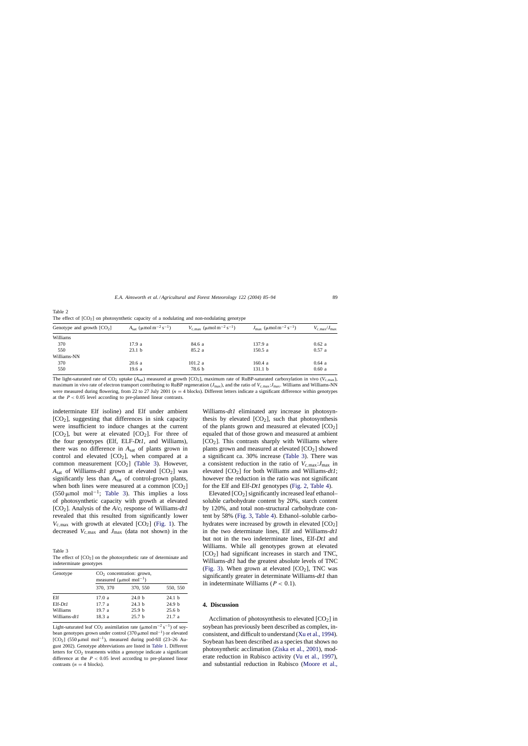| Genotype and growth $[CO2]$ | $A_{\text{sat}}$ (µmol m <sup>-2</sup> s <sup>-1</sup> ) | $V_{\rm c,max}$ ( $\mu$ mol m <sup>-2</sup> s <sup>-1</sup> ) | $J_{\text{max}}$ ( $\mu$ mol m <sup>-2</sup> s <sup>-1</sup> ) | $V_{\rm c,max}/J_{\rm max}$ |
|-----------------------------|----------------------------------------------------------|---------------------------------------------------------------|----------------------------------------------------------------|-----------------------------|
| Williams                    |                                                          |                                                               |                                                                |                             |
| 370                         | 17.9a                                                    | 84.6 a                                                        | 137.9 a                                                        | 0.62a                       |
| 550                         | 23.1 <sub>b</sub>                                        | 85.2a                                                         | 150.5a                                                         | 0.57a                       |
| Williams-NN                 |                                                          |                                                               |                                                                |                             |
| 370                         | 20.6a                                                    | 101.2a                                                        | 160.4a                                                         | 0.64a                       |
| 550                         | 19.6 a                                                   | 78.6 b                                                        | 131.1 <sub>b</sub>                                             | 0.60a                       |

<span id="page-4-0"></span>Table 2 The effect of  $[CO_2]$  on photosynthetic capacity of a nodulating and non-nodulating genotype

The light-saturated rate of CO<sub>2</sub> uptake  $(A_{sat})$  measured at growth  $[CO_2]$ , maximum rate of RuBP-saturated carboxylation in vivo  $(V_{c,max})$ , maximum in vivo rate of electron transport contributing to RuBP regeneration ( $J_{\text{max}}$ ), and the ratio of  $V_{\text{c,max}}$ : *J*<sub>max</sub>. Williams and Williams-NN</sub> were measured during flowering, from 22 to 27 July 2001 ( $n = 4$  blocks). Different letters indicate a significant difference within genotypes at the  $P < 0.05$  level according to pre-planned linear contrasts.

indeterminate Elf isoline) and Elf under ambient  $[CO<sub>2</sub>]$ , suggesting that differences in sink capacity were insufficient to induce changes at the current  $[CO<sub>2</sub>]$ , but were at elevated  $[CO<sub>2</sub>]$ . For three of the four genotypes (Elf, ELF-*Dt1*, and Williams), there was no difference in *A*sat of plants grown in control and elevated  $[CO<sub>2</sub>]$ , when compared at a common measurement  $[CO<sub>2</sub>]$  (Table 3). However,  $A_{\text{sat}}$  of Williams-*dt1* grown at elevated  $[CO_2]$  was significantly less than *A*sat of control-grown plants, when both lines were measured at a common  $[CO<sub>2</sub>]$  $(550 \,\mu\text{mol} \text{ mol}^{-1})$ ; Table 3). This implies a loss of photosynthetic capacity with growth at elevated [CO2]. Analysis of the *A*/*c*<sup>i</sup> response of Williams-*dt1* revealed that this resulted from significantly lower  $V_{\rm c,max}$  with growth at elevated  $[CO_2]$  ([Fig. 1\).](#page-5-0) The decreased  $V_{\rm c,max}$  and  $J_{\rm max}$  (data not shown) in the

Table 3

The effect of  $[CO<sub>2</sub>]$  on the photosynthetic rate of determinate and indeterminate genotypes

| Genotype     | $CO2$ concentration: grown,<br>measured ( $\mu$ mol mol <sup>-1</sup> ) |                   |                   |  |  |  |
|--------------|-------------------------------------------------------------------------|-------------------|-------------------|--|--|--|
|              | 370, 370                                                                | 370, 550          | 550, 550          |  |  |  |
| Elf          | 17.0a                                                                   | 24.0 h            | 24.1 h            |  |  |  |
| $E$ If-Dtl   | 17.7a                                                                   | 24.3 <sub>b</sub> | 24.9 <sub>b</sub> |  |  |  |
| Williams     | 19.7a                                                                   | 25.9 <sub>b</sub> | 25.6 <sub>b</sub> |  |  |  |
| Williams-dt1 | 18.3a                                                                   | 25.7 <sub>b</sub> | 21.7a             |  |  |  |

Light-saturated leaf CO<sub>2</sub> assimilation rate ( $\mu$ mol m<sup>-2</sup> s<sup>-1</sup>) of soybean genotypes grown under control (370  $\mu$ mol mol<sup>-1</sup>) or elevated [CO<sub>2</sub>] (550 µmol mol<sup>-1</sup>), measured during pod-fill (23–26 August 2002). Genotype abbreviations are listed in [Table 1. D](#page-2-0)ifferent letters for  $CO<sub>2</sub>$  treatments within a genotype indicate a significant difference at the  $P < 0.05$  level according to pre-planned linear contrasts ( $n = 4$  blocks).

Williams-*dt1* eliminated any increase in photosynthesis by elevated  $[CO<sub>2</sub>]$ , such that photosynthesis of the plants grown and measured at elevated  $[CO<sub>2</sub>]$ equaled that of those grown and measured at ambient  $[CO<sub>2</sub>]$ . This contrasts sharply with Williams where plants grown and measured at elevated  $[CO<sub>2</sub>]$  showed a significant ca. 30% increase (Table 3). There was a consistent reduction in the ratio of  $V_{\rm c,max}$ :  $J_{\rm max}$  in elevated [CO2] for both Williams and Williams-*dt1*; however the reduction in the ratio was not significant for the Elf and Elf-*Dt1* genotypes ([Fig. 2,](#page-5-0) [Table 4\).](#page-7-0)

Elevated  $[CO<sub>2</sub>]$  significantly increased leaf ethanol– soluble carbohydrate content by 20%, starch content by 120%, and total non-structural carbohydrate content by 58% [\(Fig. 3,](#page-6-0) [Table 4\).](#page-7-0) Ethanol–soluble carbohydrates were increased by growth in elevated  $[CO<sub>2</sub>]$ in the two determinate lines, Elf and Williams-*dt1* but not in the two indeterminate lines, Elf-*Dt1* and Williams. While all genotypes grown at elevated  $[CO<sub>2</sub>]$  had significant increases in starch and TNC, Williams-*dt1* had the greatest absolute levels of TNC ([Fig. 3\)](#page-6-0). When grown at elevated  $[CO<sub>2</sub>]$ , TNC was significantly greater in determinate Williams-*dt1* than in indeterminate Williams ( $P < 0.1$ ).

#### **4. Discussion**

Acclimation of photosynthesis to elevated  $[CO<sub>2</sub>]$  in soybean has previously been described as complex, inconsistent, and difficult to understand ([Xu et al., 1994\).](#page-8-0) Soybean has been described as a species that shows no photosynthetic acclimation [\(Ziska et al., 2001\),](#page-9-0) moderate reduction in Rubisco activity [\(Vu et al., 1997\)](#page-8-0), and substantial reduction in Rubisco ([Moore et al.,](#page-8-0)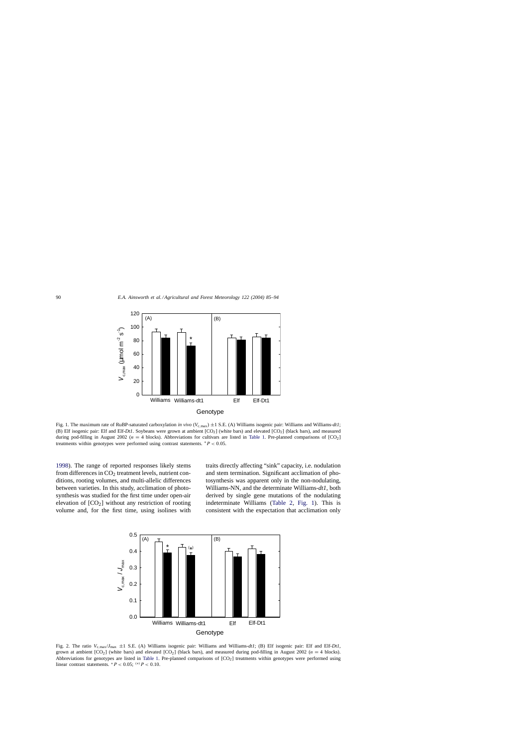<span id="page-5-0"></span>

Fig. 1. The maximum rate of RuBP-saturated carboxylation *in vivo* ( $V_{c,max}$ )  $\pm 1$  S.E. (A) Williams isogenic pair: Williams and Williams-*dt1*; (B) Elf isogenic pair: Elf and Elf-*Dt1*. Soybeans were grown at ambient  $[CO<sub>2</sub>]$  (white bars) and elevated  $[CO<sub>2</sub>]$  (black bars), and measured during pod-filling in August 2002 ( $n = 4$  blocks). Abbreviations for cultivars are listed in [Table 1.](#page-2-0) Pre-planned comparisons of [CO<sub>2</sub>] treatments within genotypes were performed using contrast statements.  $*P < 0.05$ .

[1998\).](#page-8-0) The range of reported responses likely stems from differences in  $CO<sub>2</sub>$  treatment levels, nutrient conditions, rooting volumes, and multi-allelic differences between varieties. In this study, acclimation of photosynthesis was studied for the first time under open-air elevation of  $[CO<sub>2</sub>]$  without any restriction of rooting volume and, for the first time, using isolines with

traits directly affecting "sink" capacity, i.e. nodulation and stem termination. Significant acclimation of photosynthesis was apparent only in the non-nodulating, Williams-NN, and the determinate Williams-*dt1*, both derived by single gene mutations of the nodulating indeterminate Williams [\(Table 2,](#page-4-0) Fig. 1). This is consistent with the expectation that acclimation only



Fig. 2. The ratio *V*c,max/*J*max ±1 S.E. (A) Williams isogenic pair: Williams and Williams-*dt1*; (B) Elf isogenic pair: Elf and Elf-*Dt1*, grown at ambient  $[CO_2]$  (white bars) and elevated  $[CO_2]$  (black bars), and measured during pod-filling in August 2002 (n = 4 blocks). Abbreviations for genotypes are listed in [Table 1. P](#page-2-0)re-planned comparisons of [CO<sub>2</sub>] treatments within genotypes were performed using linear contrast statements.  $^*P < 0.05$ ;  $^{(*)}P < 0.10$ .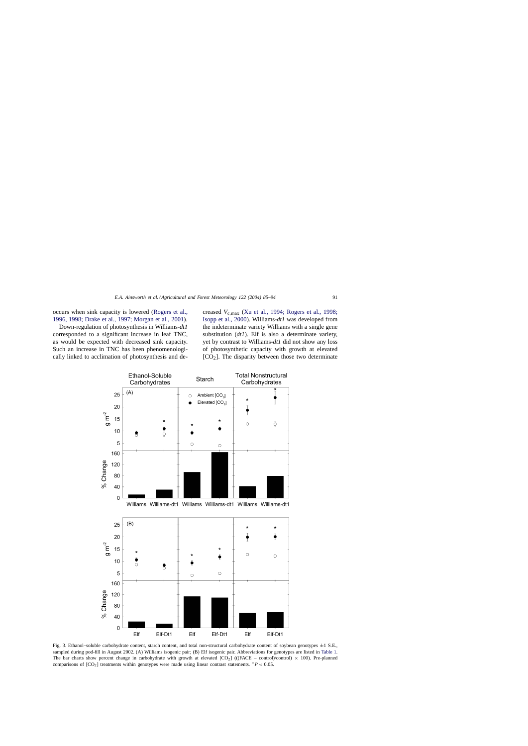<span id="page-6-0"></span>occurs when sink capacity is lowered ([Rogers et al.,](#page-8-0) [1996, 1998; Drake et al., 1997; Morgan et al., 2001\).](#page-8-0)

Down-regulation of photosynthesis in Williams-*dt1* corresponded to a significant increase in leaf TNC, as would be expected with decreased sink capacity. Such an increase in TNC has been phenomenologically linked to acclimation of photosynthesis and decreased *V*c,max [\(Xu et al., 1994; Rogers et al., 1998;](#page-8-0) [Isopp et al., 2000\).](#page-8-0) Williams-*dt1* was developed from the indeterminate variety Williams with a single gene substitution (*dt1*). Elf is also a determinate variety, yet by contrast to Williams-*dt1* did not show any loss of photosynthetic capacity with growth at elevated  $[CO<sub>2</sub>]$ . The disparity between those two determinate



Fig. 3. Ethanol–soluble carbohydrate content, starch content, and total non-structural carbohydrate content of soybean genotypes  $\pm 1$  S.E., sampled during pod-fill in August 2002. (A) Williams isogenic pair; (B) Elf isogenic pair. Abbreviations for genotypes are listed in [Table 1.](#page-2-0) The bar charts show percent change in carbohydrate with growth at elevated  $[CO<sub>2</sub>]$  (((FACE – control)/control)  $\times$  100). Pre-planned comparisons of  $[CO_2]$  treatments within genotypes were made using linear contrast statements. \*  $P < 0.05$ .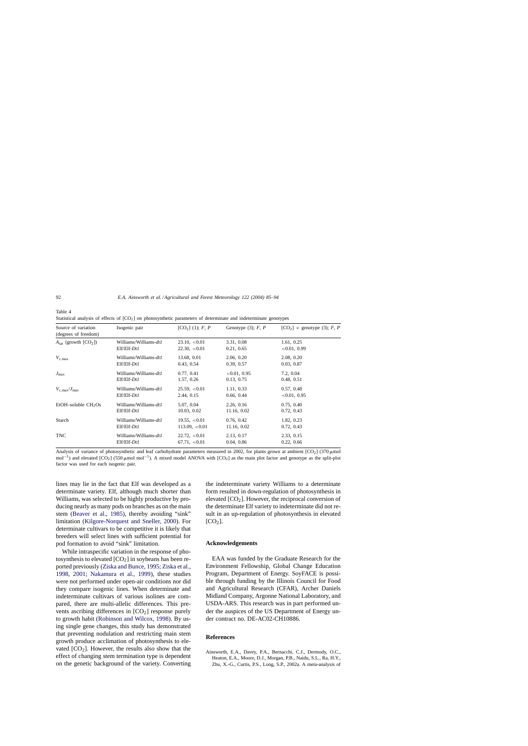| Source of variation<br>(degrees of freedom)  | Isogenic pair         | $[CO2]$ (1); F, P | Genotype $(3)$ ; F, P | $[CO2] \times$ genotype (3); F, P |
|----------------------------------------------|-----------------------|-------------------|-----------------------|-----------------------------------|
| $A_{\text{sat}}$ (growth [CO <sub>2</sub> ]) | Williams/Williams-dt1 | 23.10, < 0.01     | 3.31, 0.08            | 1.61, 0.25                        |
|                                              | $E$ If/ $E$ If- $DtI$ | 22.30, < 0.01     | 0.21, 0.65            | <0.01, 0.99                       |
| $V_{\rm c,max}$                              | Williams/Williams-dt1 | 13.68, 0.01       | 2.06, 0.20            | 2.08, 0.20                        |
|                                              | $E$ If/ $E$ If- $DtI$ | 0.43, 0.54        | 0.39, 0.57            | 0.03, 0.87                        |
| $J_{\text{max}}$                             | Williams/Williams-dt1 | 0.77, 0.41        | < 0.01, 0.95          | 7.2, 0.04                         |
|                                              | $E$ If/ $E$ If- $DtI$ | 1.57, 0.26        | 0.13, 0.75            | 0.48, 0.51                        |
| $V_{\rm c. max}/J_{\rm max}$                 | Williams/Williams-dt1 | 25.59, <0.01      | 1.11, 0.33            | 0.57, 0.48                        |
|                                              | $E$ lf/ $E$ lf- $Dt1$ | 2.44, 0.15        | 0.66, 0.44            | < 0.01, 0.95                      |
| $EtOH$ -soluble $CH2 Os$                     | Williams/Williams-dt1 | 5.07, 0.04        | 2.26, 0.16            | 0.75, 0.40                        |
|                                              | $E$ If/ $E$ If- $DtI$ | 10.03, 0.02       | 11.16, 0.02           | 0.72, 0.43                        |
| Starch                                       | Williams/Williams-dt1 | 19.55, < 0.01     | 0.76, 0.42            | 1.82, 0.23                        |
|                                              | $E$ If/ $E$ If- $DtI$ | $113.09 \le 0.01$ | 11.16, 0.02           | 0.72, 0.43                        |
| TNC                                          | Williams/Williams-dt1 | 22.72, < 0.01     | 2.13, 0.17            | 2.33, 0.15                        |
|                                              | $E$ If/ $E$ If- $DtI$ | 67.71, < 0.01     | 0.04, 0.86            | 0.22, 0.66                        |

Statistical analysis of effects of  $[CO_2]$  on photosynthetic parameters of determinate and indeterminate genotypes

Analysis of variance of photosynthetic and leaf carbohydrate parameters measured in 2002, for plants grown at ambient  $[CO<sub>2</sub>]$  (370  $\mu$ mol mol<sup>-1</sup>) and elevated [CO<sub>2</sub>] (550 µmol mol<sup>-1</sup>). A mixed model ANOVA with [CO<sub>2</sub>] as the main plot factor and genotype as the split-plot factor was used for each isogenic pair.

lines may lie in the fact that Elf was developed as a determinate variety. Elf, although much shorter than Williams, was selected to be highly productive by producing nearly as many pods on branches as on the main stem ([Beaver et al., 1985\)](#page-8-0), thereby avoiding "sink" limitation [\(Kilgore-Norquest and Sneller, 2000\)](#page-8-0). For determinate cultivars to be competitive it is likely that breeders will select lines with sufficient potential for pod formation to avoid "sink" limitation.

While intraspecific variation in the response of photosynthesis to elevated  $[CO<sub>2</sub>]$  in soybeans has been reported previously ([Ziska and Bunce, 1995; Ziska et al.,](#page-8-0) [1998, 2001; Nakamura et al., 199](#page-8-0)9), these studies were not performed under open-air conditions nor did they compare isogenic lines. When determinate and indeterminate cultivars of various isolines are compared, there are multi-allelic differences. This prevents ascribing differences in  $[CO<sub>2</sub>]$  response purely to growth habit ([Robinson and Wilcox, 1998\).](#page-8-0) By using single gene changes, this study has demonstrated that preventing nodulation and restricting main stem growth produce acclimation of photosynthesis to elevated  $[CO<sub>2</sub>]$ . However, the results also show that the effect of changing stem termination type is dependent on the genetic background of the variety. Converting the indeterminate variety Williams to a determinate form resulted in down-regulation of photosynthesis in elevated  $[CO<sub>2</sub>]$ . However, the reciprocal conversion of the determinate Elf variety to indeterminate did not result in an up-regulation of photosynthesis in elevated  $[CO<sub>2</sub>]$ .

## **Acknowledgements**

EAA was funded by the Graduate Research for the Environment Fellowship, Global Change Education Program, Department of Energy. SoyFACE is possible through funding by the Illinois Council for Food and Agricultural Research (CFAR), Archer Daniels Midland Company, Argonne National Laboratory, and USDA-ARS. This research was in part performed under the auspices of the US Department of Energy under contract no. DE-AC02-CH10886.

## **References**

Ainsworth, E.A., Davey, P.A., Bernacchi, C.J., Dermody, O.C., Heaton, E.A., Moore, D.J., Morgan, P.B., Naidu, S.L., Ra, H.Y., Zhu, X.-G., Curtis, P.S., Long, S.P., 2002a. A meta-analysis of

<span id="page-7-0"></span>Table 4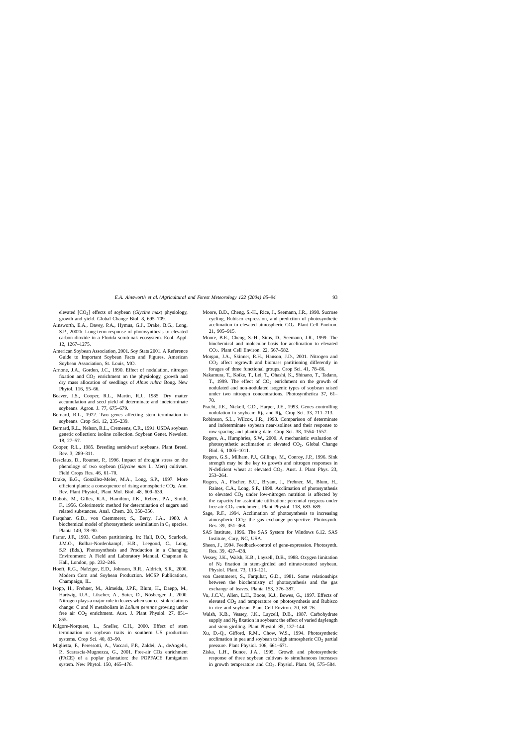<span id="page-8-0"></span>elevated [CO<sub>2</sub>] effects of soybean (*Glycine max*) physiology, growth and yield. Global Change Biol. 8, 695–709.

- Ainsworth, E.A., Davey, P.A., Hymus, G.J., Drake, B.G., Long, S.P., 2002b. Long-term response of photosynthesis to elevated carbon dioxide in a Florida scrub-oak ecosystem. Ecol. Appl. 12, 1267–1275.
- American Soybean Association, 2001. Soy Stats 2001. A Reference Guide to Important Soybean Facts and Figures. American Soybean Association, St. Louis, MO.
- Arnone, J.A., Gordon, J.C., 1990. Effect of nodulation, nitrogen fixation and  $CO<sub>2</sub>$  enrichment on the physiology, growth and dry mass allocation of seedlings of *Alnus rubra* Bong. New Phytol. 116, 55–66.
- Beaver, J.S., Cooper, R.L., Martin, R.J., 1985. Dry matter accumulation and seed yield of determinate and indeterminate soybeans. Agron. J. 77, 675–679.
- Bernard, R.L., 1972. Two genes affecting stem termination in soybeans. Crop Sci. 12, 235–239.
- Bernard, R.L., Nelson, R.L., Cremeens, C.R., 1991. USDA soybean genetic collection: isoline collection. Soybean Genet. Newslett. 18, 27–57.
- Cooper, R.L., 1985. Breeding semidwarf soybeans. Plant Breed. Rev. 3, 289–311.
- Desclaux, D., Roumet, P., 1996. Impact of drought stress on the phenology of two soybean (*Glycine max* L. Merr) cultivars. Field Crops Res. 46, 61–70.
- Drake, B.G., Gonzàlez-Meler, M.A., Long, S.P., 1997. More efficient plants: a consequence of rising atmospheric  $CO<sub>2</sub>$ . Ann. Rev. Plant Physiol., Plant Mol. Biol. 48, 609–639.
- Dubois, M., Gilles, K.A., Hamilton, J.K., Rebers, P.A., Smith, F., 1956. Colorimetric method for determination of sugars and related substances. Anal. Chem. 28, 350–356.
- Farquhar, G.D., von Caemmerer, S., Berry, J.A., 1980. A biochemical model of photosynthetic assimilation in  $C_3$  species. Planta 149, 78–90.
- Farrar, J.F., 1993. Carbon partitioning. In: Hall, D.O., Scurlock, J.M.O., Bolhar-Nordenkampf, H.R., Leegood, C., Long, S.P. (Eds.), Photosynthesis and Production in a Changing Environment: A Field and Laboratory Manual. Chapman & Hall, London, pp. 232–246.
- Hoeft, R.G., Nafziger, E.D., Johnson, R.R., Aldrich, S.R., 2000. Modern Corn and Soybean Production. MCSP Publications, Champaign, IL.
- Isopp, H., Frehner, M., Almeida, J.P.F., Blum, H., Daepp, M., Hartwig, U.A., Lüscher, A., Suter, D., Nösberger, J., 2000. Nitrogen plays a major role in leaves when source–sink relations change: C and N metabolism in *Lolium perenne* growing under free air CO<sub>2</sub> enrichment. Aust. J. Plant Physiol. 27, 851-855.
- Kilgore-Norquest, L., Sneller, C.H., 2000. Effect of stem termination on soybean traits in southern US production systems. Crop Sci. 40, 83–90.
- Miglietta, F., Peressotti, A., Vaccari, F.P., Zaldei, A., deAngelis, P., Scarascia-Mugnozza, G., 2001. Free-air CO<sub>2</sub> enrichment (FACE) of a poplar plantation: the POPFACE fumigation system. New Phytol. 150, 465–476.
- Moore, B.D., Cheng, S.-H., Rice, J., Seemann, J.R., 1998. Sucrose cycling, Rubisco expression, and prediction of photosynthetic acclimation to elevated atmospheric  $CO<sub>2</sub>$ . Plant Cell Environ. 21, 905–915.
- Moore, B.E., Cheng, S.-H., Sims, D., Seemann, J.R., 1999. The biochemical and molecular basis for acclimation to elevated CO2. Plant Cell Environ. 22, 567–582.
- Morgan, J.A., Skinner, R.H., Hanson, J.D., 2001. Nitrogen and CO2 affect regrowth and biomass partitioning differently in forages of three functional groups. Crop Sci. 41, 78–86.
- Nakamura, T., Koike, T., Lei, T., Ohashi, K., Shinano, T., Tadano, T., 1999. The effect of  $CO<sub>2</sub>$  enrichment on the growth of nodulated and non-nodulated isogenic types of soybean raised under two nitrogen concentrations. Photosynthetica 37, 61– 70.
- Pracht, J.E., Nickell, C.D., Harper, J.E., 1993. Genes controlling nodulation in soybean:  $Rj<sub>5</sub>$  and  $Rj<sub>6</sub>$ . Crop Sci. 33, 711–713.
- Robinson, S.L., Wilcox, J.R., 1998. Comparison of determinate and indeterminate soybean near-isolines and their response to row spacing and planting date. Crop Sci. 38, 1554–1557.
- Rogers, A., Humphries, S.W., 2000. A mechanistic evaluation of photosynthetic acclimation at elevated  $CO<sub>2</sub>$ . Global Change Biol. 6, 1005–1011.
- Rogers, G.S., Milham, P.J., Gillings, M., Conroy, J.P., 1996. Sink strength may be the key to growth and nitrogen responses in N-deficient wheat at elevated CO<sub>2</sub>. Aust. J. Plant Phys. 23, 253–264.
- Rogers, A., Fischer, B.U., Bryant, J., Frehner, M., Blum, H., Raines, C.A., Long, S.P., 1998. Acclimation of photosynthesis to elevated CO2 under low-nitrogen nutrition is affected by the capacity for assimilate utilization: perennial ryegrass under free-air CO<sub>2</sub> enrichment. Plant Physiol. 118, 683-689.
- Sage, R.F., 1994. Acclimation of photosynthesis to increasing atmospheric  $CO<sub>2</sub>$ : the gas exchange perspective. Photosynth. Res. 39, 351–368.
- SAS Institute, 1996. The SAS System for Windows 6.12. SAS Institute, Cary, NC, USA.
- Sheen, J., 1994. Feedback-control of gene-expression. Photosynth. Res. 39, 427–438.
- Vessey, J.K., Walsh, K.B., Layzell, D.B., 1988. Oxygen limitation of N2 fixation in stem-girdled and nitrate-treated soybean. Physiol. Plant. 73, 113–121.
- von Caemmerer, S., Farquhar, G.D., 1981. Some relationships between the biochemistry of photosynthesis and the gas exchange of leaves. Planta 153, 376–387.
- Vu, J.C.V., Allen, L.H., Boote, K.J., Bowes, G., 1997. Effects of elevated  $CO<sub>2</sub>$  and temperature on photosynthesis and Rubisco in rice and soybean. Plant Cell Environ. 20, 68–76.
- Walsh, K.B., Vessey, J.K., Layzell, D.B., 1987. Carbohydrate supply and  $N_2$  fixation in soybean: the effect of varied daylength and stem girdling. Plant Physiol. 85, 137–144.
- Xu, D.-Q., Gifford, R.M., Chow, W.S., 1994. Photosynthetic acclimation in pea and soybean to high atmospheric  $CO<sub>2</sub>$  partial pressure. Plant Physiol. 106, 661–671.
- Ziska, L.H., Bunce, J.A., 1995. Growth and photosynthetic response of three soybean cultivars to simultaneous increases in growth temperature and  $CO<sub>2</sub>$ . Physiol. Plant. 94, 575–584.